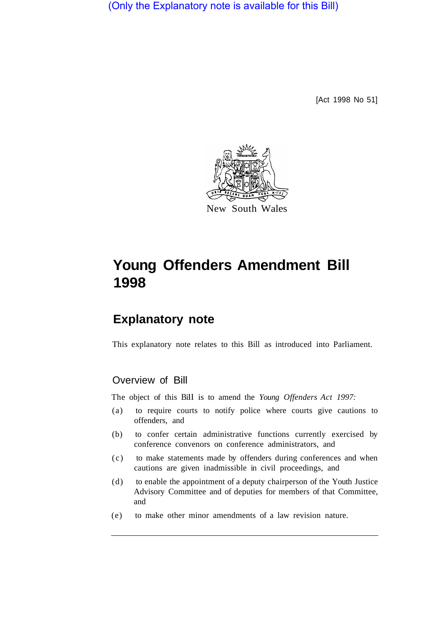(Only the Explanatory note is available for this Bill)

[Act 1998 No 51]



# **Young Offenders Amendment Bill 1998**

## **Explanatory note**

This explanatory note relates to this Bill as introduced into Parliament.

#### Overview of Bill

The object of this Bill is to amend the *Young Offenders Act 1997*:

- (a) to require courts to notify police where courts give cautions to offenders, and
- (b) to confer certain administrative functions currently exercised by conference convenors on conference administrators, and
- (c) to make statements made by offenders during conferences and when cautions are given inadmissible in civil proceedings, and
- (d) to enable the appointment of a deputy chairperson of the Youth Justice Advisory Committee and of deputies for members of that Committee, and
- (e) to make other minor amendments of a law revision nature.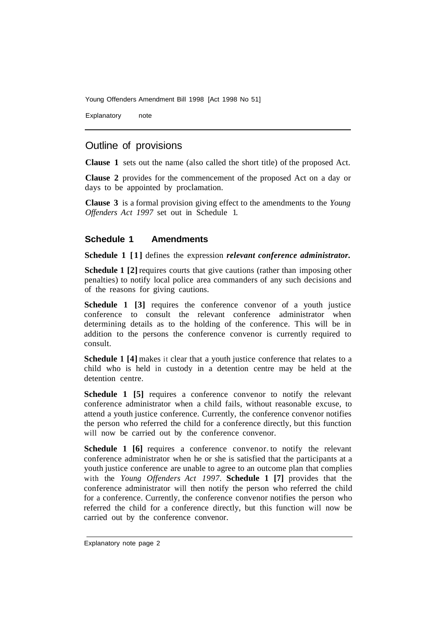Young Offenders Amendment Bill 1998 [Act 1998 No 51]

Explanatory note

### Outline of provisions

**Clause 1** sets out the name (also called the short title) of the proposed Act.

**Clause 2** provides for the commencement of the proposed Act on a day or days to be appointed by proclamation.

**Clause 3** is a formal provision giving effect to the amendments to the *Young Offenders Act 1997* set out in Schedule 1.

#### **Schedule 1 Amendments**

**Schedule 1 [1]** defines the expression *relevant conference administrator.* 

**Schedule 1 [2]** requires courts that give cautions (rather than imposing other penalties) to notify local police area commanders of any such decisions and of the reasons for giving cautions.

**Schedule 1 [3] requires the conference convenor of a youth justice** conference to consult the relevant conference administrator when determining details as to the holding of the conference. This will be in addition to the persons the conference convenor is currently required to consult.

**Schedule 1** [4] makes it clear that a youth justice conference that relates to a child who is held in custody in a detention centre may be held at the detention centre.

**Schedule 1 [5] requires a conference convenor to notify the relevant** conference administrator when a child fails, without reasonable excuse, to attend a youth justice conference. Currently, the conference convenor notifies the person who referred the child for a conference directly, but this function will now be carried out by the conference convenor.

**Schedule 1 [6]** requires a conference convenor to notify the relevant conference administrator when he or she is satisfied that the participants at a youth justice conference are unable to agree to an outcome plan that complies with the *Young Offenders Act 1997.* **Schedule 1 [7]** provides that the conference administrator will then notify the person who referred the child for a conference. Currently, the conference convenor notifies the person who referred the child for a conference directly, but this function will now be carried out by the conference convenor.

Explanatory note page 2